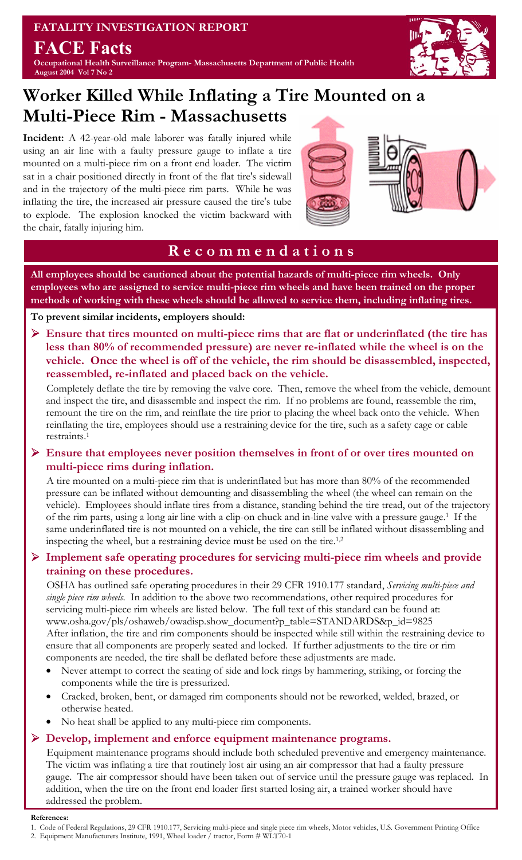**FATALITY INVESTIGATION REPORT FACE Facts Occupational Health Surveillance Program- Massachusetts Department of Public Health August 2004 Vol 7 No 2** 



## **Worker Killed While Inflating a Tire Mounted on a Multi-Piece Rim - Massachusetts**

**Incident:** A 42-year-old male laborer was fatally injured while using an air line with a faulty pressure gauge to inflate a tire mounted on a multi-piece rim on a front end loader. The victim sat in a chair positioned directly in front of the flat tire's sidewall and in the trajectory of the multi-piece rim parts. While he was inflating the tire, the increased air pressure caused the tire's tube to explode. The explosion knocked the victim backward with the chair, fatally injuring him.



### **R e c o m m e n d a t i o n s**

**All employees should be cautioned about the potential hazards of multi-piece rim wheels. Only employees who are assigned to service multi-piece rim wheels and have been trained on the proper methods of working with these wheels should be allowed to service them, including inflating tires.** 

#### **To prevent similar incidents, employers should:**

¾ **Ensure that tires mounted on multi-piece rims that are flat or underinflated (the tire has less than 80% of recommended pressure) are never re-inflated while the wheel is on the vehicle. Once the wheel is off of the vehicle, the rim should be disassembled, inspected, reassembled, re-inflated and placed back on the vehicle.** 

Completely deflate the tire by removing the valve core. Then, remove the wheel from the vehicle, demount and inspect the tire, and disassemble and inspect the rim. If no problems are found, reassemble the rim, remount the tire on the rim, and reinflate the tire prior to placing the wheel back onto the vehicle. When reinflating the tire, employees should use a restraining device for the tire, such as a safety cage or cable restraints.1

¾ **Ensure that employees never position themselves in front of or over tires mounted on multi-piece rims during inflation.** 

A tire mounted on a multi-piece rim that is underinflated but has more than 80% of the recommended pressure can be inflated without demounting and disassembling the wheel (the wheel can remain on the vehicle). Employees should inflate tires from a distance, standing behind the tire tread, out of the trajectory of the rim parts, using a long air line with a clip-on chuck and in-line valve with a pressure gauge.1 If the same underinflated tire is not mounted on a vehicle, the tire can still be inflated without disassembling and inspecting the wheel, but a restraining device must be used on the tire.1,2

¾ **Implement safe operating procedures for servicing multi-piece rim wheels and provide training on these procedures.** 

OSHA has outlined safe operating procedures in their 29 CFR 1910.177 standard, *Servicing multi-piece and single piece rim wheels*. In addition to the above two recommendations, other required procedures for servicing multi-piece rim wheels are listed below. The full text of this standard can be found at: www.osha.gov/pls/oshaweb/owadisp.show\_document?p\_table=STANDARDS&p\_id=9825 After inflation, the tire and rim components should be inspected while still within the restraining device to ensure that all components are properly seated and locked. If further adjustments to the tire or rim components are needed, the tire shall be deflated before these adjustments are made.

- Never attempt to correct the seating of side and lock rings by hammering, striking, or forcing the components while the tire is pressurized.
- Cracked, broken, bent, or damaged rim components should not be reworked, welded, brazed, or otherwise heated.
- No heat shall be applied to any multi-piece rim components.

#### ¾ **Develop, implement and enforce equipment maintenance programs.**

Equipment maintenance programs should include both scheduled preventive and emergency maintenance. The victim was inflating a tire that routinely lost air using an air compressor that had a faulty pressure gauge. The air compressor should have been taken out of service until the pressure gauge was replaced. In addition, when the tire on the front end loader first started losing air, a trained worker should have addressed the problem.

#### **References:**

2. Equipment Manufacturers Institute, 1991, Wheel loader / tractor, Form # WLT70-1

<sup>1.</sup> Code of Federal Regulations, 29 CFR 1910.177, Servicing multi-piece and single piece rim wheels, Motor vehicles, U.S. Government Printing Office